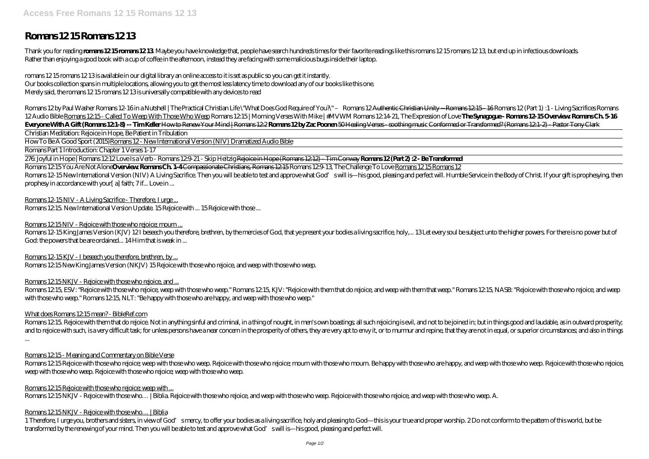# **Romans 12 15 Romans 12 13**

Thank you for reading **romans 12 15 romans 12 13**. Maybe you have knowledge that, people have search hundreds times for their favorite readings like this romans 12 15 romans 12 13, but end up in infectious downloads. Rather than enjoying a good book with a cup of coffee in the afternoon, instead they are facing with some malicious bugs inside their laptop.

romans 12 15 romans 12 13 is available in our digital library an online access to it is set as public so you can get it instantly. Our books collection spans in multiple locations, allowing you to get the most less latency time to download any of our books like this one. Merely said, the romans 12 15 romans 12 13 is universally compatible with any devices to read

Romans 12by Paul Washer Romans 12-16in a Nutshell | The Practical Christian Life \"What Does God Require of You ?" - Romans 12 Authentie Christian Unity - Romans 12.15-16 Romans 12 (Part 1) : 1 - Living Sacrifices Romans 12 Audio Bible Romans 1215 - Called To Weep With Those Who Weep Romans 1215 | Morning Verses With Mike | #MVWM Romans 1214 21, The Expression of Love The Synagogue - Romans 12 15 Overview. Romans Ch 5 16 **Everyone With A Gift (Romans 12:1-8) -- Tim Keller** How to Renew Your Mind | Romans 12:2 **Romans 12 by Zac Poonen** 50 Healing Verses - soothing music Conformed or Transformed? (Romans 12:1-2) - Pastor Tony Clark

Romans 12:15 You Are Not Alone Overview: Romans Ch. 1-4 Compassionate Christians, Romans 12:15 Romans 12:0-13, The Challenge To Love Romans 12:15 Romans 12 Romans 12-15 New International Version (NIV) A Living Sacrifice. Then you will be able to test and approve what God's will is—his good, pleasing and perfect will. Humble Service in the Body of Christ. If your gift is proph prophesy in accordance with your[ a] faith; 7 if... Love in ...

Romans 12-15 NIV - A Living Sacrifice - Therefore, I urge...

Romans 12:15. New International Version Update. 15 Rejoice with ... 15 Rejoice with those ...

Romans 12:15 NIV - Rejoice with those who rejoice; mourn ...

Romans 12-15 King James Version (KJV) 12I beseech you therefore, brethren, by the mercies of God, that ye present your bodies a living sacrifice, holy,... 13 Let every soul be subject unto the higher powers. For there is n God: the powers that be are ordained... 14 Him that is weak in ...

Romans 12-15 KJV - I beseech you therefore, brethren, by...

Romans 12:15 New King James Version (NKJV) 15 Rejoice with those who rejoice, and weep with those who weep.

Romans 12:15 NKJV - Rejoice with those who rejoice, and ...

Romans 12.15 ESV: "Rejoice with those who rejoice, weep with those who weep." Romans 12.15, K.W: "Rejoice with them that do rejoice, and weep with them that weep." Romans 12.15, NASB: "Rejoice with those who rejoice, and w with those who weep." Romans 12:15, NLT: "Be happy with those who are happy, and weep with those who weep."

What does Romans 12:15 mean? - BibleRef.com

Christian Meditation: Rejoice in Hope, Be Patient in Tribulation

How To Be A Good Sport (2015)Romans 12 - New International Version (NIV) Dramatized Audio Bible

Romans Part 1 Introduction: Chapter 1 Verses 1-17

276: Joyful in Hope | Romans 12:12 Love Is a Verb - Romans 12:9-21 - Skip Heitzig Rejoice in Hope (Romans 12:12) - Tim Conway **Romans 12 (Part 2) :2 - Be Transformed**

Romans 12.15 Rejoice with them that do rejoice. Not in anything sinful and criminal, in a thing of nought, in men's own boastings; all such rejoicing is evil, and not to be joined in; but in things good and laudable, as in and to rejoice with such, is a very difficult task; for unless persons have a near concern in the prosperity of others, they are very apt to envy it, or to murmur and repine, that they are not in equal, or superior circums ...

Romans 12.15 Rejoice with those who rejoice; weep with those who weep. Rejoice with those who rejoice; mourn with those who mourn. Be happy with those who are happy, and weep with those who weep. Rejoice with those who rej weep with those who weep. Rejoice with those who rejoice; weep with those who weep.

Romans 12:15 Rejoice with those who rejoice; weep with ... Romans 12:15 NKJV - Rejoice with those who… | Biblia. Rejoice with those who rejoice, and weep with those who weep. Rejoice with those who rejoice, and weep with those who weep. A.

# Romans  $12.15$  NKJV - Rejoice with those who... | Biblia

1 Therefore, I urge you, brothers and sisters, in view of God'smercy, to offer your bodies as a living sacrifice, holy and pleasing to God—this is your true and proper worship. 2Do not conform to the pattern of this world, transformed by the renewing of your mind. Then you will be able to test and approve what God's will is—his good, pleasing and perfect will.

Romans 12:15 - Meaning and Commentary on Bible Verse